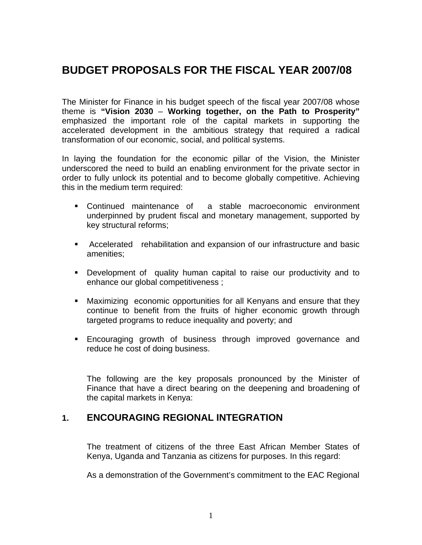# **BUDGET PROPOSALS FOR THE FISCAL YEAR 2007/08**

The Minister for Finance in his budget speech of the fiscal year 2007/08 whose theme is **"Vision 2030** – **Working together, on the Path to Prosperity"** emphasized the important role of the capital markets in supporting the accelerated development in the ambitious strategy that required a radical transformation of our economic, social, and political systems.

In laying the foundation for the economic pillar of the Vision, the Minister underscored the need to build an enabling environment for the private sector in order to fully unlock its potential and to become globally competitive. Achieving this in the medium term required:

- Continued maintenance of a stable macroeconomic environment underpinned by prudent fiscal and monetary management, supported by key structural reforms;
- Accelerated rehabilitation and expansion of our infrastructure and basic amenities;
- Development of quality human capital to raise our productivity and to enhance our global competitiveness ;
- Maximizing economic opportunities for all Kenyans and ensure that they continue to benefit from the fruits of higher economic growth through targeted programs to reduce inequality and poverty; and
- Encouraging growth of business through improved governance and reduce he cost of doing business.

The following are the key proposals pronounced by the Minister of Finance that have a direct bearing on the deepening and broadening of the capital markets in Kenya:

# **1. ENCOURAGING REGIONAL INTEGRATION**

The treatment of citizens of the three East African Member States of Kenya, Uganda and Tanzania as citizens for purposes. In this regard:

As a demonstration of the Government's commitment to the EAC Regional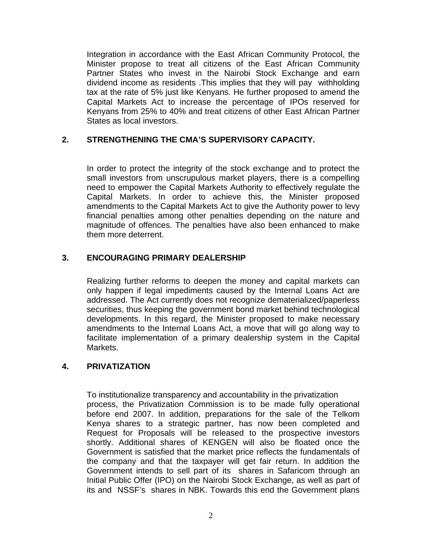Integration in accordance with the East African Community Protocol, the Minister propose to treat all citizens of the East African Community Partner States who invest in the Nairobi Stock Exchange and earn dividend income as residents .This implies that they will pay withholding tax at the rate of 5% just like Kenyans. He further proposed to amend the Capital Markets Act to increase the percentage of IPOs reserved for Kenyans from 25% to 40% and treat citizens of other East African Partner States as local investors.

#### **2. STRENGTHENING THE CMA'S SUPERVISORY CAPACITY.**

In order to protect the integrity of the stock exchange and to protect the small investors from unscrupulous market players, there is a compelling need to empower the Capital Markets Authority to effectively regulate the Capital Markets. In order to achieve this, the Minister proposed amendments to the Capital Markets Act to give the Authority power to levy financial penalties among other penalties depending on the nature and magnitude of offences. The penalties have also been enhanced to make them more deterrent.

## **3. ENCOURAGING PRIMARY DEALERSHIP**

Realizing further reforms to deepen the money and capital markets can only happen if legal impediments caused by the Internal Loans Act are addressed. The Act currently does not recognize dematerialized/paperless securities, thus keeping the government bond market behind technological developments. In this regard, the Minister proposed to make necessary amendments to the Internal Loans Act, a move that will go along way to facilitate implementation of a primary dealership system in the Capital Markets.

#### **4. PRIVATIZATION**

To institutionalize transparency and accountability in the privatization process, the Privatization Commission is to be made fully operational before end 2007. In addition, preparations for the sale of the Telkom Kenya shares to a strategic partner, has now been completed and Request for Proposals will be released to the prospective investors shortly. Additional shares of KENGEN will also be floated once the Government is satisfied that the market price reflects the fundamentals of the company and that the taxpayer will get fair return. In addition the Government intends to sell part of its shares in Safaricom through an Initial Public Offer (IPO) on the Nairobi Stock Exchange, as well as part of its and NSSF's shares in NBK. Towards this end the Government plans